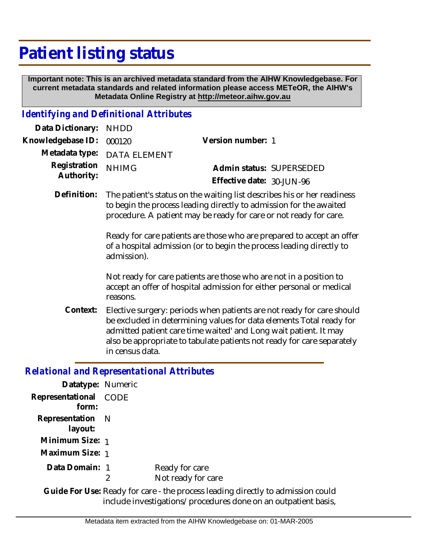## **Patient listing status**

 **Important note: This is an archived metadata standard from the AIHW Knowledgebase. For current metadata standards and related information please access METeOR, the AIHW's Metadata Online Registry at http://meteor.aihw.gov.au**

## *Identifying and Definitional Attributes*

| Data Dictionary:           | <b>NHDD</b>                                                                                                                                                                                                        |                                                                                                                                                                                                                                                                                            |  |
|----------------------------|--------------------------------------------------------------------------------------------------------------------------------------------------------------------------------------------------------------------|--------------------------------------------------------------------------------------------------------------------------------------------------------------------------------------------------------------------------------------------------------------------------------------------|--|
| Knowledgebase ID:          | 000120                                                                                                                                                                                                             | Version number: 1                                                                                                                                                                                                                                                                          |  |
| Metadata type:             | <b>DATA ELEMENT</b>                                                                                                                                                                                                |                                                                                                                                                                                                                                                                                            |  |
| Registration<br>Authority: | <b>NHIMG</b>                                                                                                                                                                                                       | Admin status: SUPERSEDED<br>Effective date: 30-JUN-96                                                                                                                                                                                                                                      |  |
| Definition:                | The patient's status on the waiting list describes his or her readiness<br>to begin the process leading directly to admission for the awaited<br>procedure. A patient may be ready for care or not ready for care. |                                                                                                                                                                                                                                                                                            |  |
|                            | Ready for care patients are those who are prepared to accept an offer<br>of a hospital admission (or to begin the process leading directly to<br>admission).                                                       |                                                                                                                                                                                                                                                                                            |  |
|                            | Not ready for care patients are those who are not in a position to<br>accept an offer of hospital admission for either personal or medical<br>reasons.                                                             |                                                                                                                                                                                                                                                                                            |  |
| Context:                   | in census data.                                                                                                                                                                                                    | Elective surgery: periods when patients are not ready for care should<br>be excluded in determining values for data elements Total ready for<br>admitted patient care time waited' and Long wait patient. It may<br>also be appropriate to tabulate patients not ready for care separately |  |
|                            | <b>Relational and Representational Attributes</b>                                                                                                                                                                  |                                                                                                                                                                                                                                                                                            |  |
| Datatype: Numeric          |                                                                                                                                                                                                                    |                                                                                                                                                                                                                                                                                            |  |
| Representational           | CODE                                                                                                                                                                                                               |                                                                                                                                                                                                                                                                                            |  |

| Representational CODE |                                                     |
|-----------------------|-----------------------------------------------------|
| form:                 |                                                     |
| Representation N      |                                                     |
| layout:               |                                                     |
| Minimum Size: 1       |                                                     |
| Maximum Size: 1       |                                                     |
| Data Domain: 1        | Ready for care                                      |
|                       | Not ready for care                                  |
|                       | Guide For Use: Ready for care - the process leading |

Use: Ready for care - the process leading directly to admission could include investigations/procedures done on an outpatient basis, **Guide For Use:**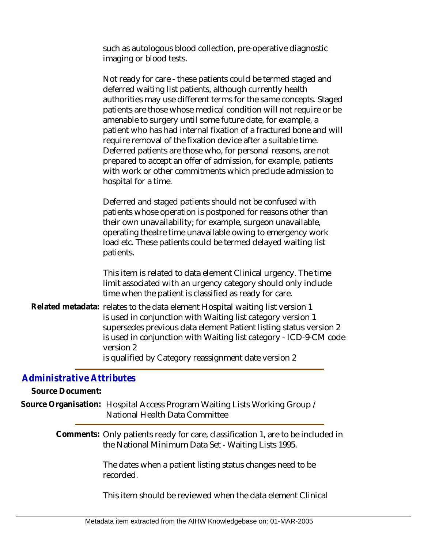such as autologous blood collection, pre-operative diagnostic imaging or blood tests.

Not ready for care - these patients could be termed staged and deferred waiting list patients, although currently health authorities may use different terms for the same concepts. Staged patients are those whose medical condition will not require or be amenable to surgery until some future date, for example, a patient who has had internal fixation of a fractured bone and will require removal of the fixation device after a suitable time. Deferred patients are those who, for personal reasons, are not prepared to accept an offer of admission, for example, patients with work or other commitments which preclude admission to hospital for a time.

Deferred and staged patients should not be confused with patients whose operation is postponed for reasons other than their own unavailability; for example, surgeon unavailable, operating theatre time unavailable owing to emergency work load etc. These patients could be termed delayed waiting list patients.

This item is related to data element Clinical urgency. The time limit associated with an urgency category should only include time when the patient is classified as ready for care.

Related metadata: relates to the data element Hospital waiting list version 1 is used in conjunction with Waiting list category version 1 supersedes previous data element Patient listing status version 2 is used in conjunction with Waiting list category - ICD-9-CM code version 2 is qualified by Category reassignment date version 2

## *Administrative Attributes*

**Source Document:**

Source Organisation: Hospital Access Program Waiting Lists Working Group / National Health Data Committee

> Comments: Only patients ready for care, classification 1, are to be included in the National Minimum Data Set - Waiting Lists 1995.

> > The dates when a patient listing status changes need to be recorded.

This item should be reviewed when the data element Clinical